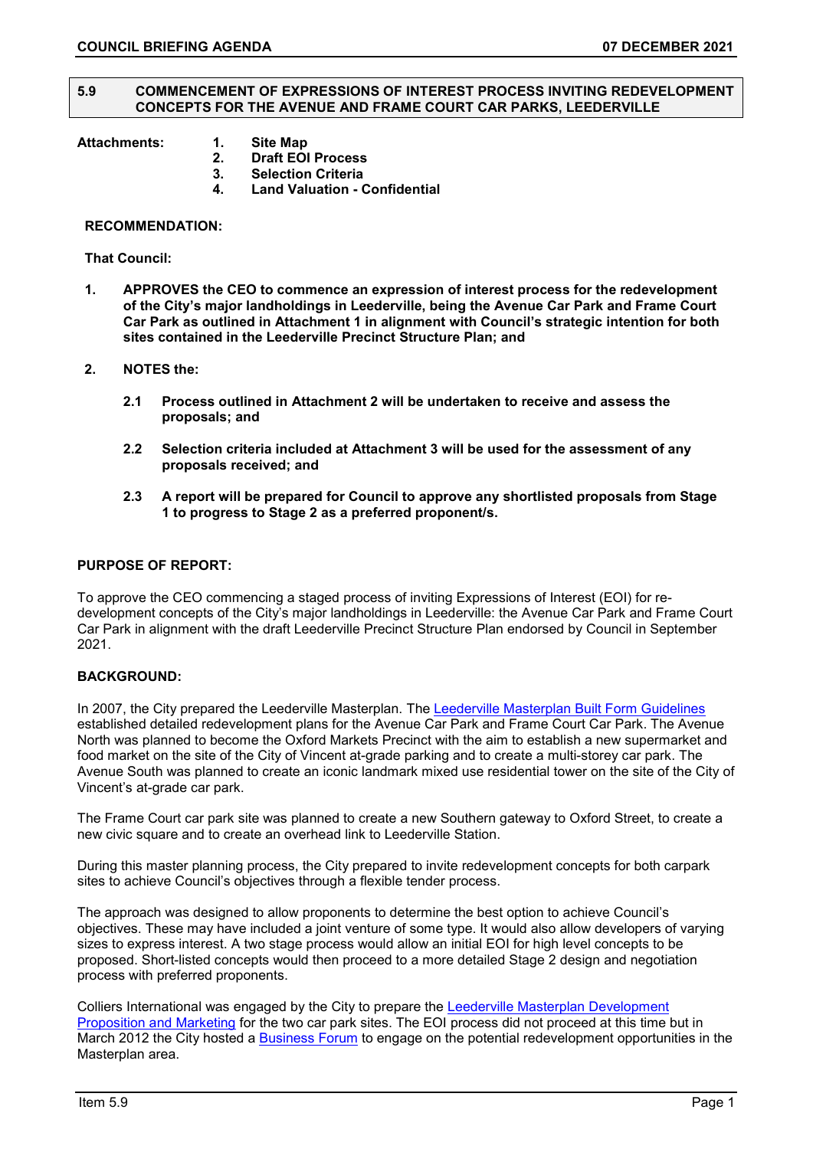#### **5.9 COMMENCEMENT OF EXPRESSIONS OF INTEREST PROCESS INVITING REDEVELOPMENT CONCEPTS FOR THE AVENUE AND FRAME COURT CAR PARKS, LEEDERVILLE**

- **Attachments: 1. Site Map** 
	- **2. Draft EOI Process**
	- **3. Selection Criteria 4. Land Valuation - Confidential**

#### **RECOMMENDATION:**

**That Council:**

- **1. APPROVES the CEO to commence an expression of interest process for the redevelopment of the City's major landholdings in Leederville, being the Avenue Car Park and Frame Court Car Park as outlined in Attachment 1 in alignment with Council's strategic intention for both sites contained in the Leederville Precinct Structure Plan; and**
- **2. NOTES the:**
	- **2.1 Process outlined in Attachment 2 will be undertaken to receive and assess the proposals; and**
	- **2.2 Selection criteria included at Attachment 3 will be used for the assessment of any proposals received; and**
	- **2.3 A report will be prepared for Council to approve any shortlisted proposals from Stage 1 to progress to Stage 2 as a preferred proponent/s.**

## **PURPOSE OF REPORT:**

To approve the CEO commencing a staged process of inviting Expressions of Interest (EOI) for redevelopment concepts of the City's major landholdings in Leederville: the Avenue Car Park and Frame Court Car Park in alignment with the draft Leederville Precinct Structure Plan endorsed by Council in September 2021.

#### **BACKGROUND:**

In 2007, the City prepared the Leederville Masterplan. The [Leederville Masterplan Built Form Guidelines](https://www.vincent.wa.gov.au/Profiles/vincent/Assets/ClientData/Documents/Develop_Build/Future_Vincent/final_BFG-10July2012-web.pdf) established detailed redevelopment plans for the Avenue Car Park and Frame Court Car Park. The Avenue North was planned to become the Oxford Markets Precinct with the aim to establish a new supermarket and food market on the site of the City of Vincent at-grade parking and to create a multi-storey car park. The Avenue South was planned to create an iconic landmark mixed use residential tower on the site of the City of Vincent's at-grade car park.

The Frame Court car park site was planned to create a new Southern gateway to Oxford Street, to create a new civic square and to create an overhead link to Leederville Station.

During this master planning process, the City prepared to invite redevelopment concepts for both carpark sites to achieve Council's objectives through a flexible tender process.

The approach was designed to allow proponents to determine the best option to achieve Council's objectives. These may have included a joint venture of some type. It would also allow developers of varying sizes to express interest. A two stage process would allow an initial EOI for high level concepts to be proposed. Short-listed concepts would then proceed to a more detailed Stage 2 design and negotiation process with preferred proponents.

Colliers International was engaged by the City to prepare the [Leederville Masterplan Development](https://www.vincent.wa.gov.au/Profiles/vincent/Assets/ClientData/Documents/Develop_Build/Future_Vincent/Colliers_Presentation.pdf)  [Proposition and Marketing](https://www.vincent.wa.gov.au/Profiles/vincent/Assets/ClientData/Documents/Develop_Build/Future_Vincent/Colliers_Presentation.pdf) for the two car park sites. The EOI process did not proceed at this time but in March 2012 the City hosted a [Business Forum](https://www.vincent.wa.gov.au/Profiles/vincent/Assets/ClientData/Documents/Develop_Build/Future_Vincent/Business_Forum_14_March_2012.pdf) to engage on the potential redevelopment opportunities in the Masterplan area.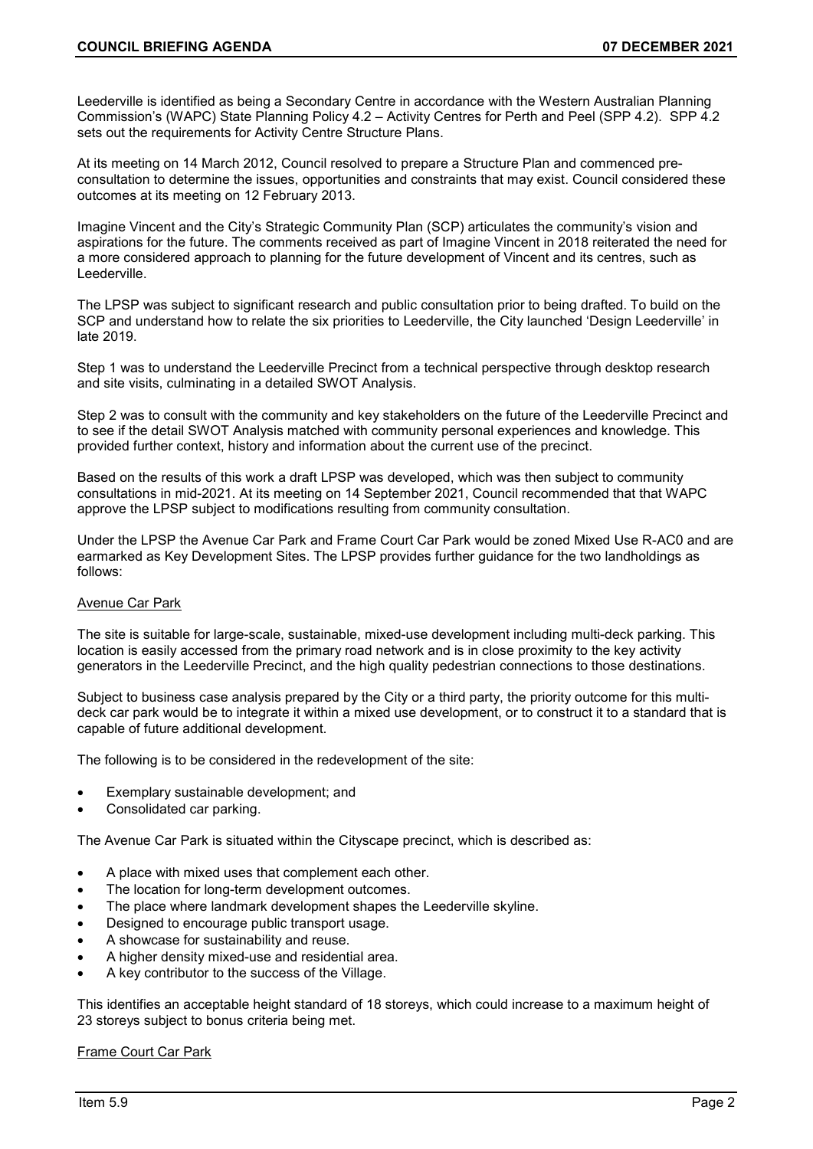Leederville is identified as being a Secondary Centre in accordance with the Western Australian Planning Commission's (WAPC) State Planning Policy 4.2 – Activity Centres for Perth and Peel (SPP 4.2). SPP 4.2 sets out the requirements for Activity Centre Structure Plans.

At its meeting on 14 March 2012, Council resolved to prepare a Structure Plan and commenced preconsultation to determine the issues, opportunities and constraints that may exist. Council considered these outcomes at its meeting on 12 February 2013.

Imagine Vincent and the City's Strategic Community Plan (SCP) articulates the community's vision and aspirations for the future. The comments received as part of Imagine Vincent in 2018 reiterated the need for a more considered approach to planning for the future development of Vincent and its centres, such as Leederville.

The LPSP was subject to significant research and public consultation prior to being drafted. To build on the SCP and understand how to relate the six priorities to Leederville, the City launched 'Design Leederville' in late 2019.

Step 1 was to understand the Leederville Precinct from a technical perspective through desktop research and site visits, culminating in a detailed SWOT Analysis.

Step 2 was to consult with the community and key stakeholders on the future of the Leederville Precinct and to see if the detail SWOT Analysis matched with community personal experiences and knowledge. This provided further context, history and information about the current use of the precinct.

Based on the results of this work a draft LPSP was developed, which was then subject to community consultations in mid-2021. At its meeting on 14 September 2021, Council recommended that that WAPC approve the LPSP subject to modifications resulting from community consultation.

Under the LPSP the Avenue Car Park and Frame Court Car Park would be zoned Mixed Use R-AC0 and are earmarked as Key Development Sites. The LPSP provides further guidance for the two landholdings as follows:

# Avenue Car Park

The site is suitable for large-scale, sustainable, mixed-use development including multi-deck parking. This location is easily accessed from the primary road network and is in close proximity to the key activity generators in the Leederville Precinct, and the high quality pedestrian connections to those destinations.

Subject to business case analysis prepared by the City or a third party, the priority outcome for this multideck car park would be to integrate it within a mixed use development, or to construct it to a standard that is capable of future additional development.

The following is to be considered in the redevelopment of the site:

- Exemplary sustainable development; and
- Consolidated car parking.

The Avenue Car Park is situated within the Cityscape precinct, which is described as:

- A place with mixed uses that complement each other.
- The location for long-term development outcomes.
- The place where landmark development shapes the Leederville skyline.
- Designed to encourage public transport usage.
- A showcase for sustainability and reuse.
- A higher density mixed-use and residential area.
- A key contributor to the success of the Village.

This identifies an acceptable height standard of 18 storeys, which could increase to a maximum height of 23 storeys subject to bonus criteria being met.

Frame Court Car Park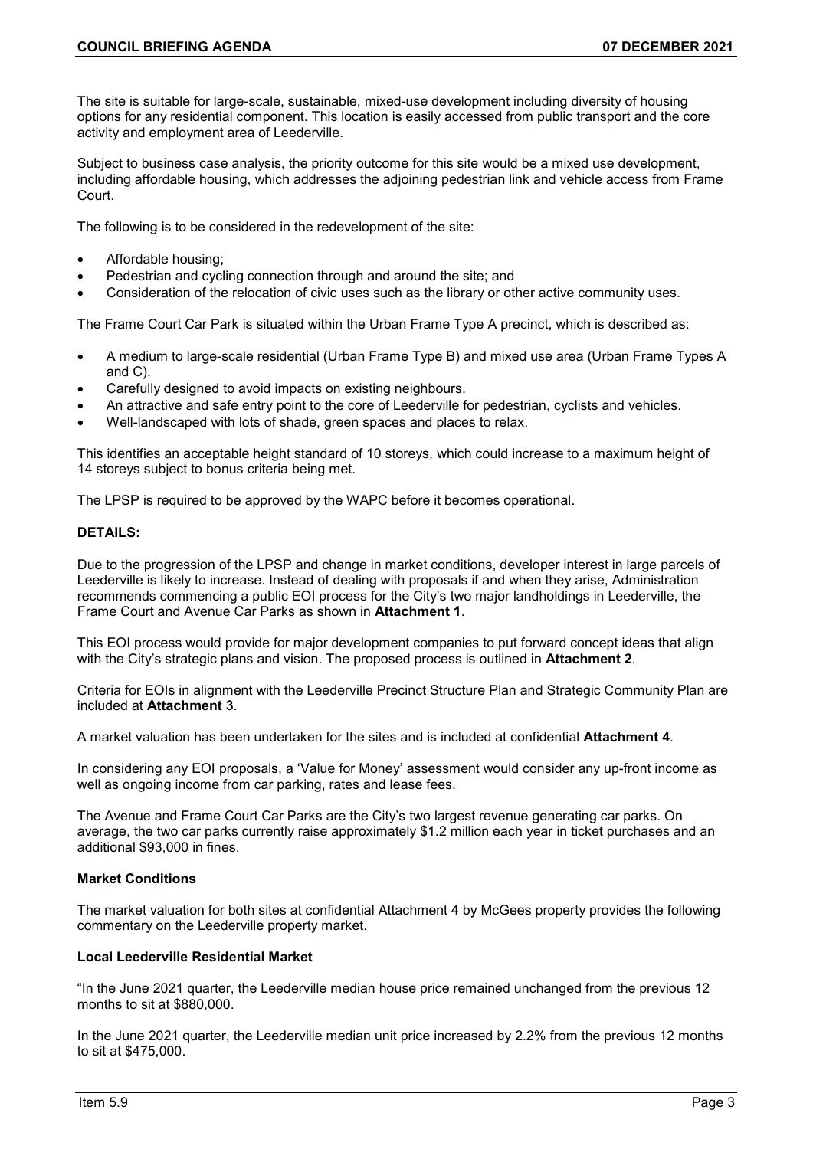The site is suitable for large-scale, sustainable, mixed-use development including diversity of housing options for any residential component. This location is easily accessed from public transport and the core activity and employment area of Leederville.

Subject to business case analysis, the priority outcome for this site would be a mixed use development, including affordable housing, which addresses the adjoining pedestrian link and vehicle access from Frame Court.

The following is to be considered in the redevelopment of the site:

- Affordable housing;
- Pedestrian and cycling connection through and around the site; and
- Consideration of the relocation of civic uses such as the library or other active community uses.

The Frame Court Car Park is situated within the Urban Frame Type A precinct, which is described as:

- A medium to large-scale residential (Urban Frame Type B) and mixed use area (Urban Frame Types A and C).
- Carefully designed to avoid impacts on existing neighbours.
- An attractive and safe entry point to the core of Leederville for pedestrian, cyclists and vehicles.
- Well-landscaped with lots of shade, green spaces and places to relax.

This identifies an acceptable height standard of 10 storeys, which could increase to a maximum height of 14 storeys subject to bonus criteria being met.

The LPSP is required to be approved by the WAPC before it becomes operational.

# **DETAILS:**

Due to the progression of the LPSP and change in market conditions, developer interest in large parcels of Leederville is likely to increase. Instead of dealing with proposals if and when they arise, Administration recommends commencing a public EOI process for the City's two major landholdings in Leederville, the Frame Court and Avenue Car Parks as shown in **Attachment 1**.

This EOI process would provide for major development companies to put forward concept ideas that align with the City's strategic plans and vision. The proposed process is outlined in **Attachment 2**.

Criteria for EOIs in alignment with the Leederville Precinct Structure Plan and Strategic Community Plan are included at **Attachment 3**.

A market valuation has been undertaken for the sites and is included at confidential **Attachment 4**.

In considering any EOI proposals, a 'Value for Money' assessment would consider any up-front income as well as ongoing income from car parking, rates and lease fees.

The Avenue and Frame Court Car Parks are the City's two largest revenue generating car parks. On average, the two car parks currently raise approximately \$1.2 million each year in ticket purchases and an additional \$93,000 in fines.

## **Market Conditions**

The market valuation for both sites at confidential Attachment 4 by McGees property provides the following commentary on the Leederville property market.

#### **Local Leederville Residential Market**

"In the June 2021 quarter, the Leederville median house price remained unchanged from the previous 12 months to sit at \$880,000.

In the June 2021 quarter, the Leederville median unit price increased by 2.2% from the previous 12 months to sit at \$475,000.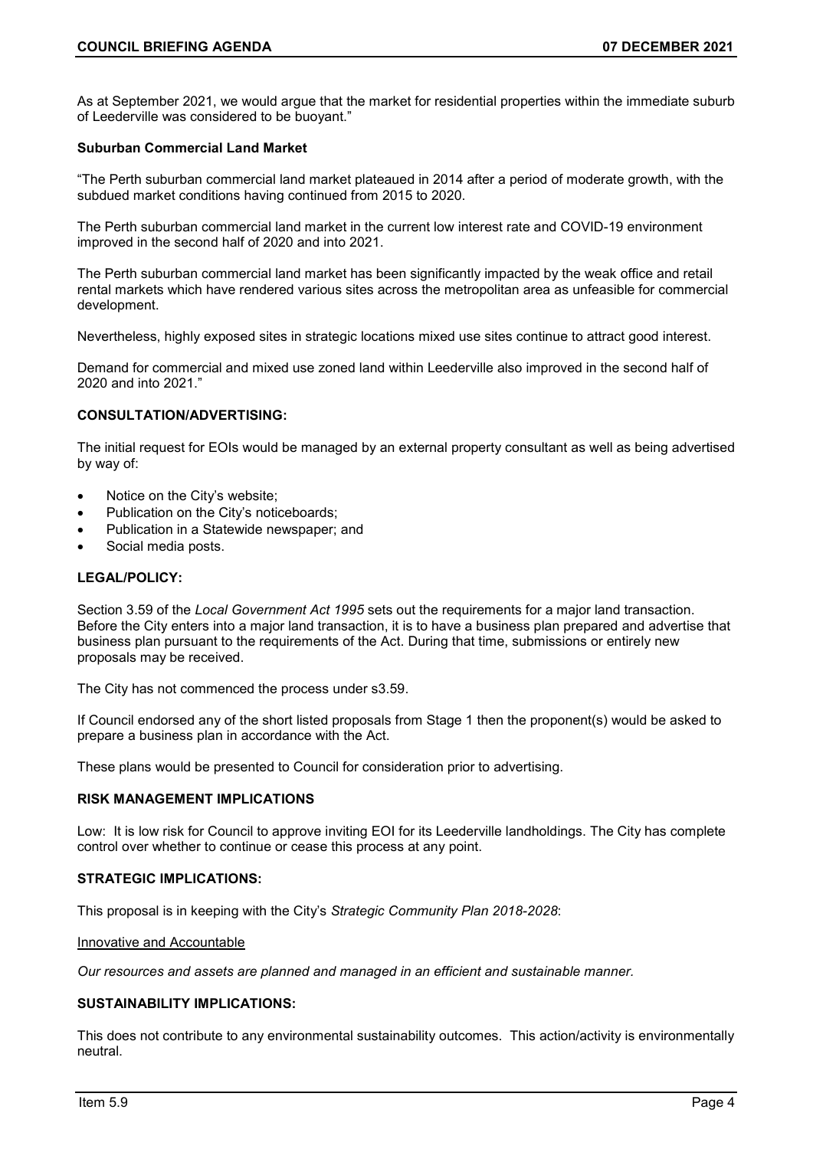As at September 2021, we would argue that the market for residential properties within the immediate suburb of Leederville was considered to be buoyant."

# **Suburban Commercial Land Market**

"The Perth suburban commercial land market plateaued in 2014 after a period of moderate growth, with the subdued market conditions having continued from 2015 to 2020.

The Perth suburban commercial land market in the current low interest rate and COVID-19 environment improved in the second half of 2020 and into 2021.

The Perth suburban commercial land market has been significantly impacted by the weak office and retail rental markets which have rendered various sites across the metropolitan area as unfeasible for commercial development.

Nevertheless, highly exposed sites in strategic locations mixed use sites continue to attract good interest.

Demand for commercial and mixed use zoned land within Leederville also improved in the second half of 2020 and into 2021."

## **CONSULTATION/ADVERTISING:**

The initial request for EOIs would be managed by an external property consultant as well as being advertised by way of:

- Notice on the City's website;
- Publication on the City's noticeboards;
- Publication in a Statewide newspaper; and
- Social media posts.

# **LEGAL/POLICY:**

Section 3.59 of the *Local Government Act 1995* sets out the requirements for a major land transaction. Before the City enters into a major land transaction, it is to have a business plan prepared and advertise that business plan pursuant to the requirements of the Act. During that time, submissions or entirely new proposals may be received.

The City has not commenced the process under s3.59.

If Council endorsed any of the short listed proposals from Stage 1 then the proponent(s) would be asked to prepare a business plan in accordance with the Act.

These plans would be presented to Council for consideration prior to advertising.

# **RISK MANAGEMENT IMPLICATIONS**

Low: It is low risk for Council to approve inviting EOI for its Leederville landholdings. The City has complete control over whether to continue or cease this process at any point.

#### **STRATEGIC IMPLICATIONS:**

This proposal is in keeping with the City's *Strategic Community Plan 2018-2028*:

Innovative and Accountable

*Our resources and assets are planned and managed in an efficient and sustainable manner.*

## **SUSTAINABILITY IMPLICATIONS:**

This does not contribute to any environmental sustainability outcomes. This action/activity is environmentally neutral.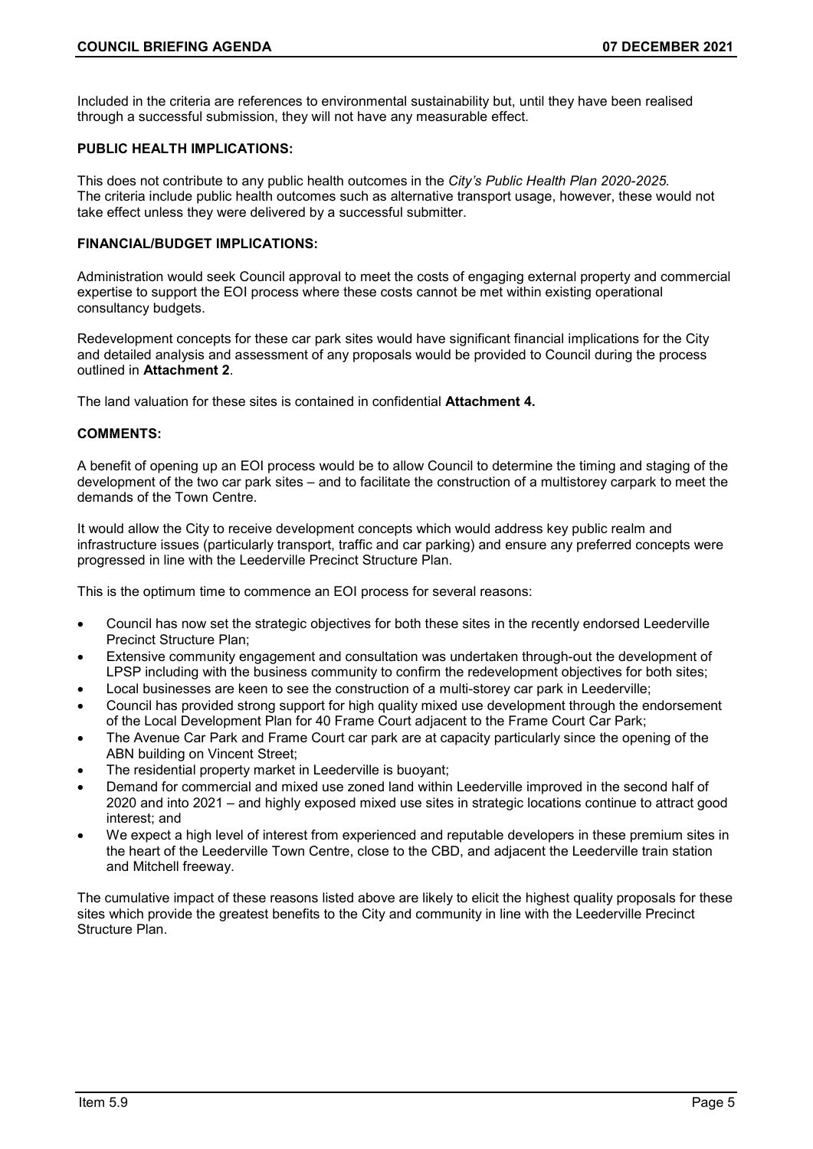Included in the criteria are references to environmental sustainability but, until they have been realised through a successful submission, they will not have any measurable effect.

# **PUBLIC HEALTH IMPLICATIONS:**

This does not contribute to any public health outcomes in the *City's Public Health Plan 2020-2025.* The criteria include public health outcomes such as alternative transport usage, however, these would not take effect unless they were delivered by a successful submitter.

## **FINANCIAL/BUDGET IMPLICATIONS:**

Administration would seek Council approval to meet the costs of engaging external property and commercial expertise to support the EOI process where these costs cannot be met within existing operational consultancy budgets.

Redevelopment concepts for these car park sites would have significant financial implications for the City and detailed analysis and assessment of any proposals would be provided to Council during the process outlined in **Attachment 2**.

The land valuation for these sites is contained in confidential **Attachment 4.**

### **COMMENTS:**

A benefit of opening up an EOI process would be to allow Council to determine the timing and staging of the development of the two car park sites – and to facilitate the construction of a multistorey carpark to meet the demands of the Town Centre.

It would allow the City to receive development concepts which would address key public realm and infrastructure issues (particularly transport, traffic and car parking) and ensure any preferred concepts were progressed in line with the Leederville Precinct Structure Plan.

This is the optimum time to commence an EOI process for several reasons:

- Council has now set the strategic objectives for both these sites in the recently endorsed Leederville Precinct Structure Plan;
- Extensive community engagement and consultation was undertaken through-out the development of LPSP including with the business community to confirm the redevelopment objectives for both sites;
- Local businesses are keen to see the construction of a multi-storey car park in Leederville;
- Council has provided strong support for high quality mixed use development through the endorsement of the Local Development Plan for 40 Frame Court adjacent to the Frame Court Car Park;
- The Avenue Car Park and Frame Court car park are at capacity particularly since the opening of the ABN building on Vincent Street;
- The residential property market in Leederville is buoyant;
- Demand for commercial and mixed use zoned land within Leederville improved in the second half of 2020 and into 2021 – and highly exposed mixed use sites in strategic locations continue to attract good interest; and
- We expect a high level of interest from experienced and reputable developers in these premium sites in the heart of the Leederville Town Centre, close to the CBD, and adjacent the Leederville train station and Mitchell freeway.

The cumulative impact of these reasons listed above are likely to elicit the highest quality proposals for these sites which provide the greatest benefits to the City and community in line with the Leederville Precinct Structure Plan.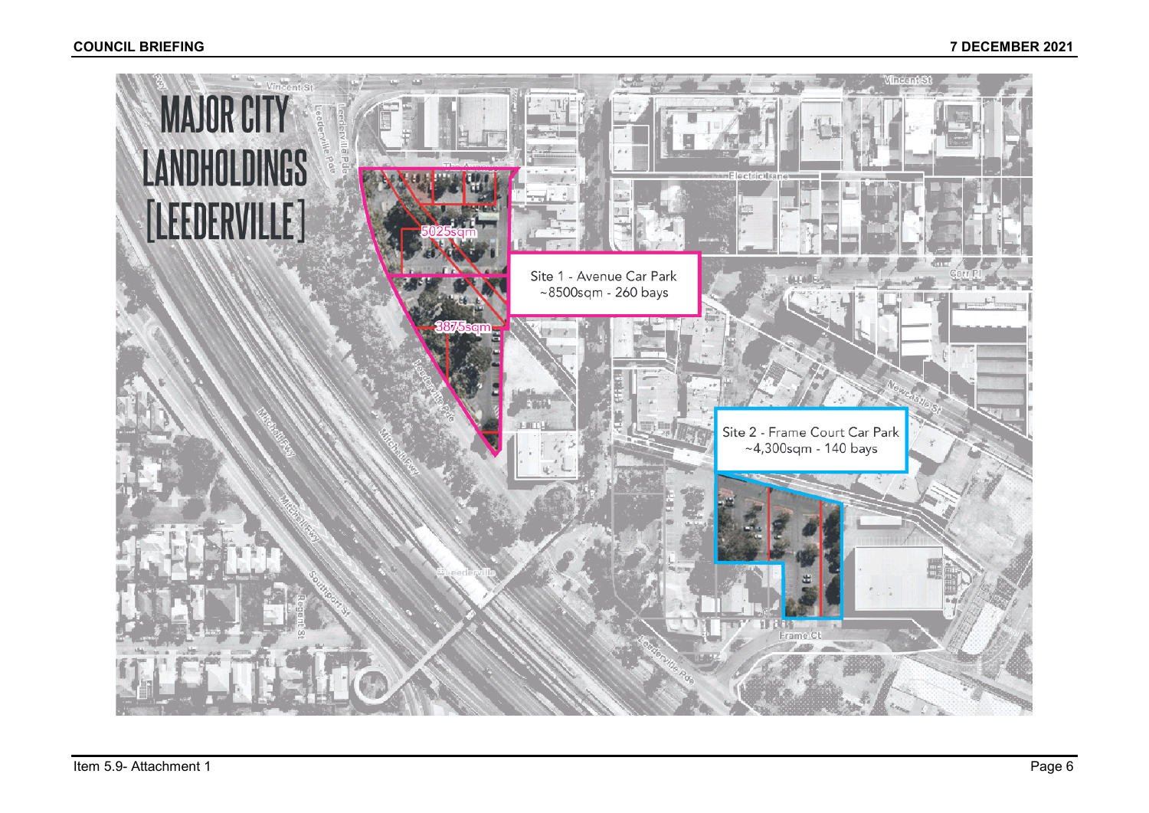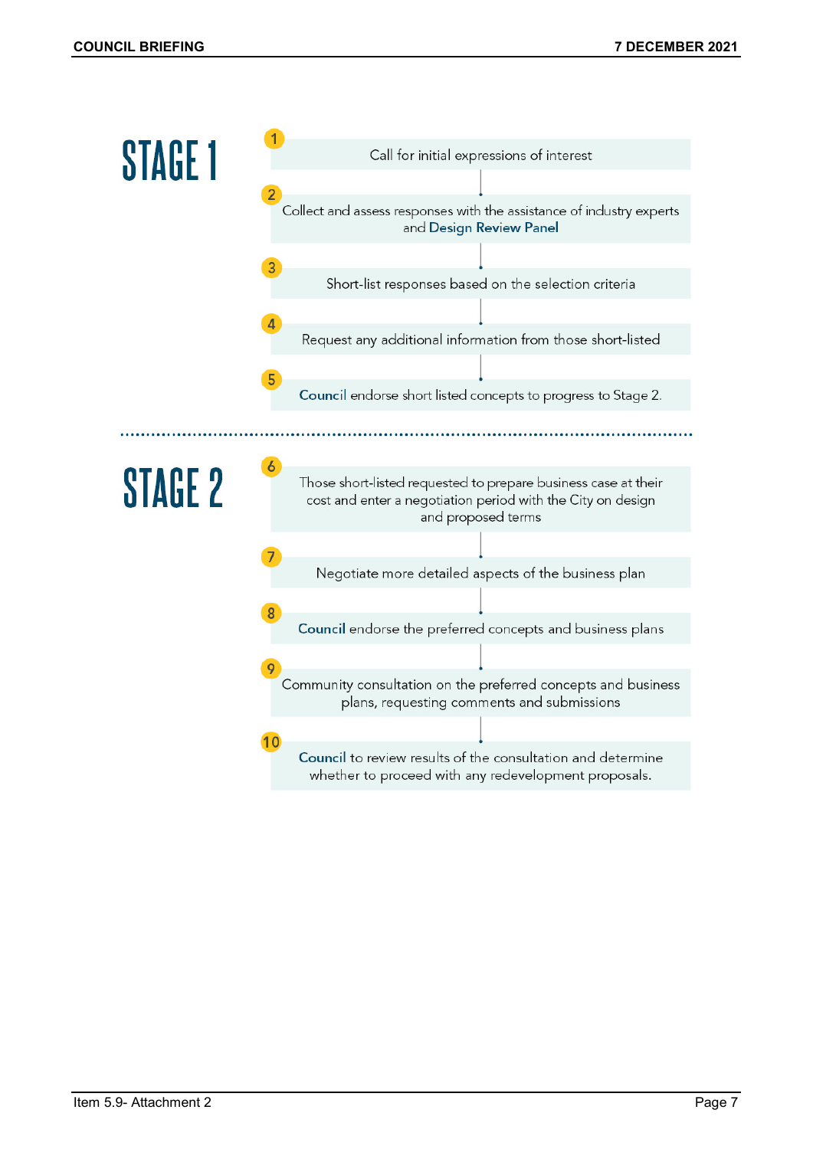